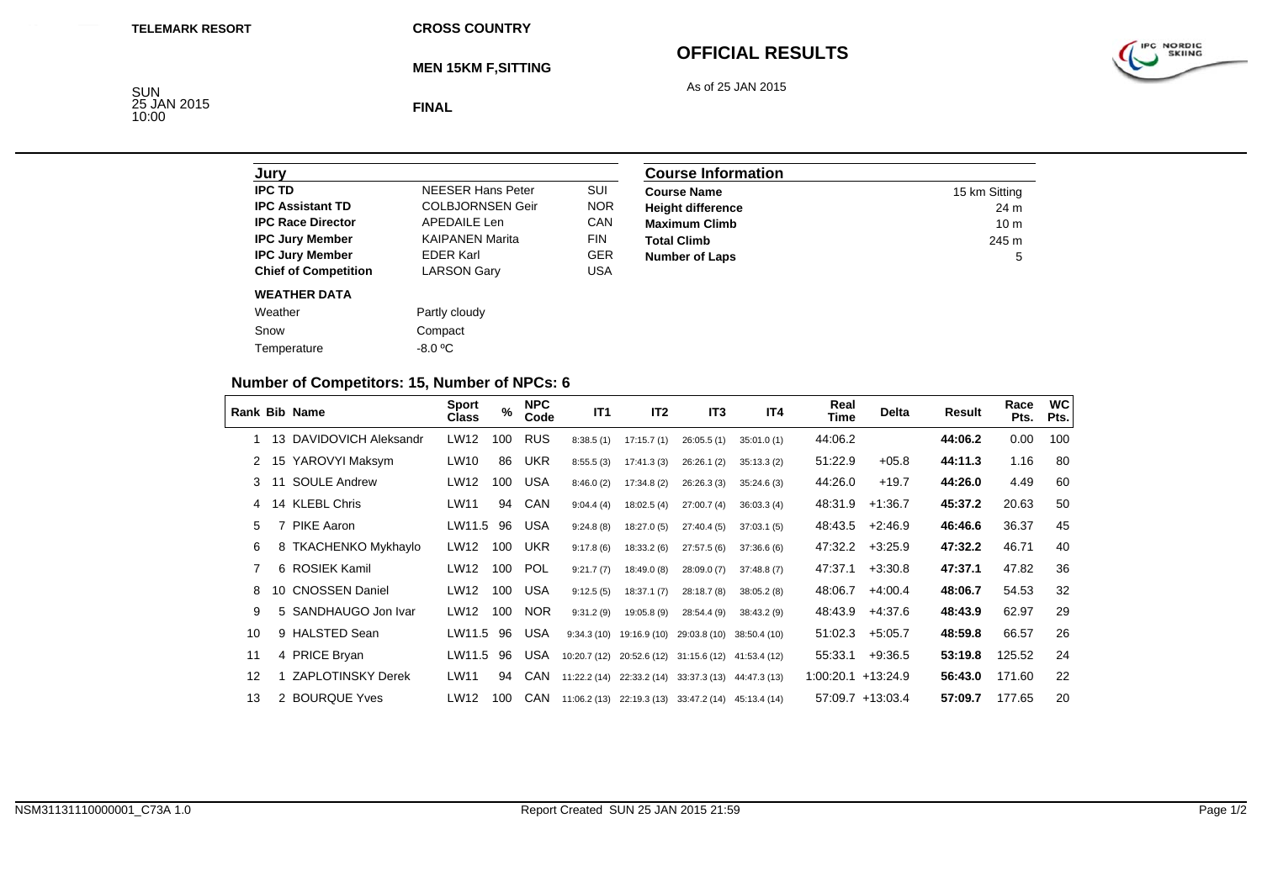**MEN 15KM F,SITTING**

## **OFFICIAL RESULTS**

As of 25 JAN 2015



SUN<br>25 JAN 2015<br>10:00

**FINAL**

| Jury                        |                          |            |
|-----------------------------|--------------------------|------------|
| <b>IPC TD</b>               | <b>NEESER Hans Peter</b> | SUI        |
| <b>IPC Assistant TD</b>     | <b>COLBJORNSEN Geir</b>  | <b>NOR</b> |
| <b>IPC Race Director</b>    | APFDAIL F Len            | CAN        |
| <b>IPC Jury Member</b>      | <b>KAIPANEN Marita</b>   | <b>FIN</b> |
| <b>IPC Jury Member</b>      | <b>FDFR Karl</b>         | <b>GER</b> |
| <b>Chief of Competition</b> | <b>LARSON Gary</b>       | USA        |
| <b>WEATHER DATA</b>         |                          |            |
| Weather                     | Partly cloudy            |            |
| Snow                        | Compact                  |            |
| Temperature                 | -8.0 °C                  |            |

| <b>Course Information</b> |                 |  |  |  |  |
|---------------------------|-----------------|--|--|--|--|
| <b>Course Name</b>        | 15 km Sitting   |  |  |  |  |
| <b>Height difference</b>  | 24 m            |  |  |  |  |
| <b>Maximum Climb</b>      | 10 <sub>m</sub> |  |  |  |  |
| <b>Total Climb</b>        | 245 m           |  |  |  |  |
| <b>Number of Laps</b>     | 5               |  |  |  |  |

## **Number of Competitors: 15, Number of NPCs: 6**

|    |     | <b>Rank Bib Name</b>     | <b>Sport</b><br><b>Class</b> | $\%$ | <b>NPC</b><br>Code | IT <sub>1</sub> | IT <sub>2</sub> | IT <sub>3</sub>                        | IT4        | Real<br>Time          | <b>Delta</b>     | Result  | Race<br>Pts. | <b>WC</b><br>Pts. |
|----|-----|--------------------------|------------------------------|------|--------------------|-----------------|-----------------|----------------------------------------|------------|-----------------------|------------------|---------|--------------|-------------------|
|    |     | 13 DAVIDOVICH Aleksandr  | LW12                         | 100  | <b>RUS</b>         | 8:38.5(1)       | 17:15.7(1)      | 26:05.5(1)                             | 35:01.0(1) | 44:06.2               |                  | 44:06.2 | 0.00         | 100               |
|    |     | 15 YAROVYI Maksym        | LW10                         | 86   | <b>UKR</b>         | 8:55.5(3)       | 17:41.3 (3)     | 26:26.1(2)                             | 35:13.3(2) | 51:22.9               | $+05.8$          | 44:11.3 | 1.16         | 80                |
| 3  | -11 | <b>SOULE Andrew</b>      | LW12                         | 100  | USA                | 8:46.0(2)       | 17:34.8 (2)     | 26:26.3(3)                             | 35:24.6(3) | 44:26.0               | $+19.7$          | 44:26.0 | 4.49         | 60                |
| 4  |     | 14 KLEBL Chris           | LW11                         | 94   | <b>CAN</b>         | 9:04.4(4)       | 18:02.5(4)      | 27:00.7(4)                             | 36:03.3(4) | 48:31.9               | $+1:36.7$        | 45:37.2 | 20.63        | 50                |
| 5  |     | <b>PIKE Aaron</b>        | LW11.5                       | 96   | <b>USA</b>         | 9:24.8(8)       | 18:27.0(5)      | 27:40.4(5)                             | 37:03.1(5) | 48:43.5               | $+2.46.9$        | 46:46.6 | 36.37        | 45                |
| 6  |     | 8 TKACHENKO Mykhaylo     | LW12                         | 100  | <b>UKR</b>         | 9:17.8(6)       | 18:33.2(6)      | 27:57.5(6)                             | 37:36.6(6) | 47:32.2               | $+3.25.9$        | 47:32.2 | 46.71        | 40                |
| 7  |     | 6 ROSIEK Kamil           | LW12                         | 100  | <b>POL</b>         | 9:21.7(7)       | 18:49.0 (8)     | 28:09.0(7)                             | 37:48.8(7) | 47:37.1               | $+3:30.8$        | 47:37.1 | 47.82        | 36                |
| 8  |     | 10 CNOSSEN Daniel        | LW12                         | 100  | <b>USA</b>         | 9:12.5(5)       | 18:37.1(7)      | 28:18.7(8)                             | 38:05.2(8) | 48:06.7               | $+4:00.4$        | 48:06.7 | 54.53        | 32                |
| 9  |     | 5 SANDHAUGO Jon Ivar     | LW12                         | 100  | <b>NOR</b>         | 9:31.2(9)       | 19:05.8 (9)     | 28:54.4 (9)                            | 38:43.2(9) | 48:43.9               | $+4:37.6$        | 48:43.9 | 62.97        | 29                |
| 10 |     | 9 HALSTED Sean           | LW11.5                       | 96   | USA                | 9:34.3(10)      | 19:16.9 (10)    | 29:03.8 (10) 38:50.4 (10)              |            | 51:02.3               | $+5.05.7$        | 48:59.8 | 66.57        | 26                |
| 11 |     | 4 PRICE Bryan            | LW11.5                       | 96   | <b>USA</b>         | 10:20.7(12)     | 20:52.6 (12)    | 31:15.6 (12) 41:53.4 (12)              |            | 55:33.1               | $+9:36.5$        | 53:19.8 | 125.52       | 24                |
| 12 |     | <b>ZAPLOTINSKY Derek</b> | LW11                         | 94   | CAN                | 11:22.2 (14)    | 22:33.2 (14)    | 33:37.3 (13) 44:47.3 (13)              |            | $1:00:20.1 + 13:24.9$ |                  | 56:43.0 | 171.60       | 22                |
| 13 |     | 2 BOURQUE Yves           | LW12                         | 100  | CAN                | 11:06.2 (13)    |                 | 22:19.3 (13) 33:47.2 (14) 45:13.4 (14) |            |                       | 57:09.7 +13:03.4 | 57:09.7 | 177.65       | 20                |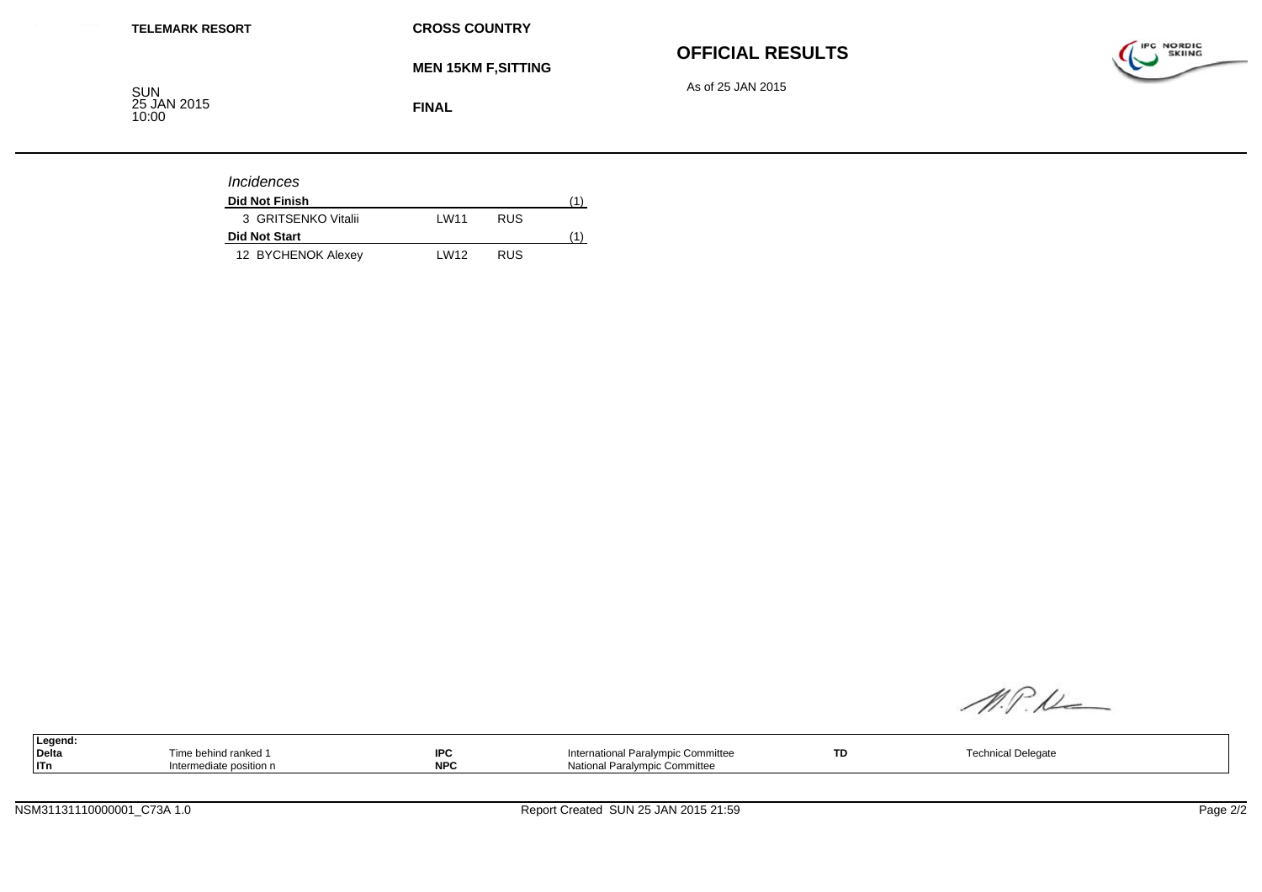#### **OFFICIAL RESULTS**

As of 25 JAN 2015



**MEN 15KM F,SITTING**

SUN<br>25 JAN 2015<br>10:00

**FINAL**

| <i><u><b>Incidences</b></u></i> |                   |            |  |
|---------------------------------|-------------------|------------|--|
| <b>Did Not Finish</b>           |                   |            |  |
| 3 GRITSENKO Vitalii             | I W <sub>11</sub> | <b>RUS</b> |  |
| <b>Did Not Start</b>            |                   |            |  |
| 12 BYCHENOK Alexey              | I W <sub>12</sub> | <b>RUS</b> |  |

M.P.M

|     | Legend: |                         |            |                                    |     |                    |
|-----|---------|-------------------------|------------|------------------------------------|-----|--------------------|
|     | Delta   | ime behind ranked 1     | $\sim$     | International Paralympic Committee | TD. | Technical Delegate |
| ITn |         | Intermediate position n | <b>NDC</b> | National Paralympic Committee      |     |                    |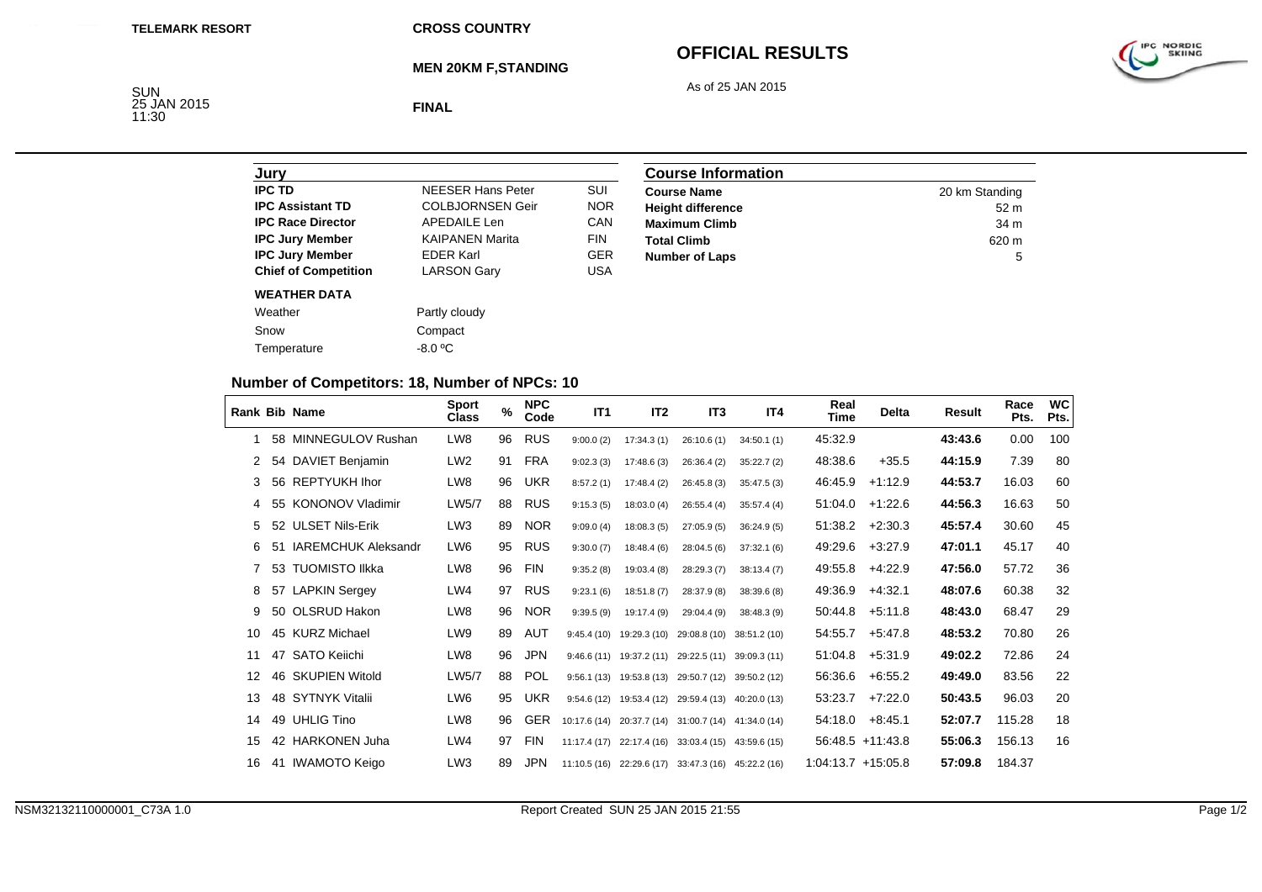**MEN 20KM F,STANDING**

## **OFFICIAL RESULTS**

As of 25 JAN 2015



SUN<br>25 JAN 2015<br>11:30

**FINAL**

| Jurv                        |                          |            |
|-----------------------------|--------------------------|------------|
| <b>IPC TD</b>               | <b>NFFSFR Hans Peter</b> | SUI        |
| <b>IPC Assistant TD</b>     | <b>COLBJORNSEN Geir</b>  | <b>NOR</b> |
| <b>IPC Race Director</b>    | <b>APEDAILE Len</b>      | CAN        |
| <b>IPC Jury Member</b>      | <b>KAIPANEN Marita</b>   | <b>FIN</b> |
| <b>IPC Jury Member</b>      | <b>EDER Karl</b>         | GFR        |
| <b>Chief of Competition</b> | <b>LARSON Gary</b>       | USA        |
| <b>WEATHER DATA</b>         |                          |            |
| Weather                     | Partly cloudy            |            |
| Snow                        | Compact                  |            |
| Temperature                 | $-8.0 °C$                |            |

| <b>Course Information</b> |                 |  |  |  |  |
|---------------------------|-----------------|--|--|--|--|
| <b>Course Name</b>        | 20 km Standing  |  |  |  |  |
| <b>Height difference</b>  | 52 <sub>m</sub> |  |  |  |  |
| <b>Maximum Climb</b>      | 34 m            |  |  |  |  |
| <b>Total Climb</b>        | 620 m           |  |  |  |  |
| <b>Number of Laps</b>     | 5               |  |  |  |  |

## **Number of Competitors: 18, Number of NPCs: 10**

|    |    | <b>Rank Bib Name</b>       | <b>Sport</b><br>Class | $\%$ | <b>NPC</b><br>Code | IT <sub>1</sub> | IT <sub>2</sub>            | IT <sub>3</sub>           | IT4          | Real<br>Time         | <b>Delta</b>       | Result  | Race<br>Pts. | <b>WC</b><br>Pts. |
|----|----|----------------------------|-----------------------|------|--------------------|-----------------|----------------------------|---------------------------|--------------|----------------------|--------------------|---------|--------------|-------------------|
|    | 58 | MINNEGULOV Rushan          | LW8                   | 96   | <b>RUS</b>         | 9:00.0(2)       | 17:34.3(1)                 | 26:10.6(1)                | 34:50.1(1)   | 45:32.9              |                    | 43:43.6 | 0.00         | 100               |
| 2  |    | 54 DAVIET Benjamin         | LW <sub>2</sub>       | 91   | FRA                | 9:02.3(3)       | 17:48.6(3)                 | 26:36.4(2)                | 35:22.7(2)   | 48:38.6              | $+35.5$            | 44:15.9 | 7.39         | 80                |
| 3  |    | 56 REPTYUKH Ihor           | LW8                   | 96   | UKR                | 8:57.2(1)       | 17:48.4(2)                 | 26:45.8(3)                | 35:47.5(3)   | 46:45.9              | $+1:12.9$          | 44:53.7 | 16.03        | 60                |
| 4  |    | 55 KONONOV Vladimir        | LW5/7                 | 88   | <b>RUS</b>         | 9:15.3(5)       | 18:03.0(4)                 | 26:55.4(4)                | 35:57.4(4)   | 51:04.0              | $+1:22.6$          | 44:56.3 | 16.63        | 50                |
| 5  |    | 52 ULSET Nils-Erik         | LW <sub>3</sub>       | 89   | <b>NOR</b>         | 9:09.0(4)       | 18:08.3(5)                 | 27:05.9(5)                | 36:24.9(5)   | 51:38.2              | $+2:30.3$          | 45:57.4 | 30.60        | 45                |
| 6  | 51 | <b>IAREMCHUK Aleksandr</b> | LW <sub>6</sub>       | 95   | <b>RUS</b>         | 9:30.0(7)       | 18:48.4(6)                 | 28:04.5 (6)               | 37:32.1(6)   | 49:29.6              | $+3:27.9$          | 47:01.1 | 45.17        | 40                |
| 7  |    | 53 TUOMISTO Ilkka          | LW8                   | 96   | <b>FIN</b>         | 9:35.2(8)       | 19:03.4 (8)                | 28:29.3 (7)               | 38:13.4(7)   | 49.55.8              | $+4:22.9$          | 47:56.0 | 57.72        | 36                |
| 8  | 57 | <b>LAPKIN Sergey</b>       | LW4                   | 97   | <b>RUS</b>         | 9:23.1(6)       | 18:51.8(7)                 | 28:37.9 (8)               | 38:39.6(8)   | 49:36.9              | $+4:32.1$          | 48:07.6 | 60.38        | 32                |
| 9  | 50 | OLSRUD Hakon               | LW8                   | 96   | <b>NOR</b>         | 9:39.5(9)       | 19:17.4 (9)                | 29:04.4 (9)               | 38:48.3 (9)  | 50:44.8              | $+5:11.8$          | 48:43.0 | 68.47        | 29                |
| 10 |    | 45 KURZ Michael            | LW9                   | 89   | AUT                | 9:45.4(10)      | 19:29.3 (10)               | 29:08.8 (10)              | 38:51.2 (10) | 54:55.7              | $+5.47.8$          | 48:53.2 | 70.80        | 26                |
| 11 |    | 47 SATO Keiichi            | LW8                   | 96   | <b>JPN</b>         | 9:46.6(11)      | 19:37.2 (11)               | 29:22.5 (11)              | 39:09.3 (11) | 51:04.8              | $+5:31.9$          | 49:02.2 | 72.86        | 24                |
| 12 |    | 46 SKUPIEN Witold          | LW5/7                 | 88   | <b>POL</b>         | 9:56.1(13)      | 19:53.8 (13)               | 29:50.7 (12)              | 39:50.2 (12) | 56:36.6              | $+6.55.2$          | 49:49.0 | 83.56        | 22                |
| 13 |    | 48 SYTNYK Vitalii          | LW <sub>6</sub>       | 95   | UKR                | 9:54.6(12)      | 19:53.4 (12)               | 29:59.4 (13)              | 40:20.0 (13) | 53:23.7              | $+7:22.0$          | 50:43.5 | 96.03        | 20                |
| 14 |    | 49 UHLIG Tino              | LW8                   | 96   | <b>GER</b>         | 10:17.6 (14)    | 20:37.7 (14)               | 31:00.7(14)               | 41:34.0 (14) | 54:18.0              | $+8:45.1$          | 52:07.7 | 115.28       | 18                |
| 15 |    | 42 HARKONEN Juha           | LWA                   | 97   | <b>FIN</b>         | 11:17.4(17)     | 22:17.4 (16)               | 33:03.4(15)               | 43:59.6 (15) |                      | $56:48.5 +11:43.8$ | 55:06.3 | 156.13       | 16                |
| 16 | 41 | IWAMOTO Keigo              | LW <sub>3</sub>       | 89   | <b>JPN</b>         |                 | $11:10.5(16)$ 22:29.6 (17) | 33:47.3 (16) 45:22.2 (16) |              | $1:04:13.7 +15:05.8$ |                    | 57:09.8 | 184.37       |                   |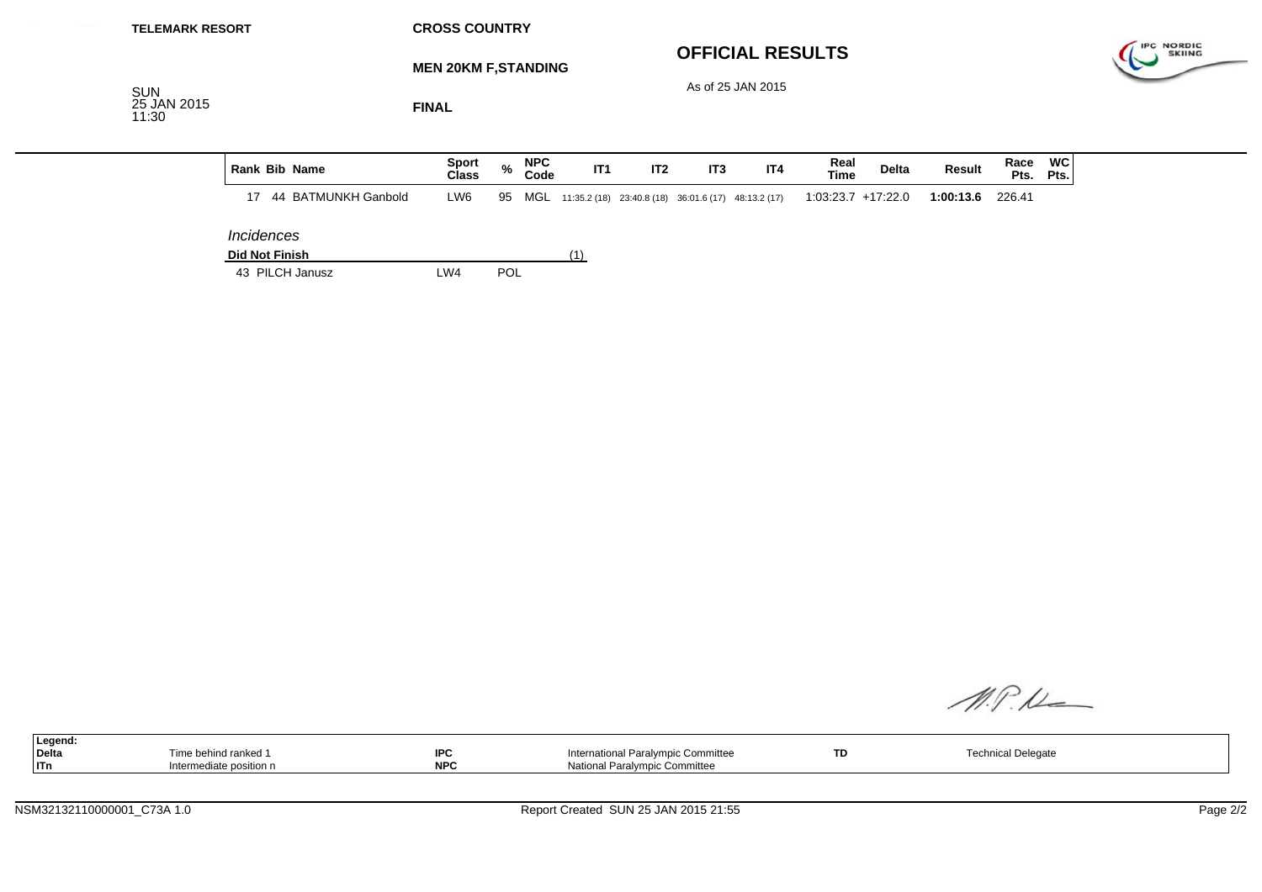| <b>TELEMARK RESORT</b>             |                          |                       |                     | <b>CROSS COUNTRY</b>         |      |                    |     |     |                                                         |                         |                      |              |           |        |                        |            |
|------------------------------------|--------------------------|-----------------------|---------------------|------------------------------|------|--------------------|-----|-----|---------------------------------------------------------|-------------------------|----------------------|--------------|-----------|--------|------------------------|------------|
|                                    |                          |                       |                     | <b>MEN 20KM F, STANDING</b>  |      |                    |     |     |                                                         | <b>OFFICIAL RESULTS</b> |                      |              |           |        |                        | IPC NORDIC |
| <b>SUN</b><br>25 JAN 2015<br>11:30 |                          |                       |                     | <b>FINAL</b>                 |      |                    |     |     |                                                         | As of 25 JAN 2015       |                      |              |           |        |                        |            |
|                                    |                          | <b>Rank Bib Name</b>  |                     | <b>Sport</b><br><b>Class</b> | $\%$ | <b>NPC</b><br>Code | IT1 | IT2 | IT <sub>3</sub>                                         | IT4                     | Real<br><b>Time</b>  | <b>Delta</b> | Result    | Race   | <b>WC</b><br>Pts. Pts. |            |
|                                    | 17                       |                       | 44 BATMUNKH Ganbold | LW6                          | 95   |                    |     |     | MGL 11:35.2 (18) 23:40.8 (18) 36:01.6 (17) 48:13.2 (17) |                         | $1:03:23.7$ +17:22.0 |              | 1:00:13.6 | 226.41 |                        |            |
|                                    | <i><b>Incidences</b></i> | <b>Did Not Finish</b> |                     |                              |      |                    | (1) |     |                                                         |                         |                      |              |           |        |                        |            |
|                                    |                          | 43 PILCH Janusz       |                     | LW4                          | POL  |                    |     |     |                                                         |                         |                      |              |           |        |                        |            |

M.P.K

| ∣Legend: |                        |            |                                    |    |                               |  |
|----------|------------------------|------------|------------------------------------|----|-------------------------------|--|
| Delta    | Fime behind ranked 1   | <b>IPC</b> | International Paralympic Committee | TD | aical Dolc<br>nnical Delegate |  |
| $ $ ITn  | ntermediate position n | <b>NPC</b> | National Paralympic Committee      |    |                               |  |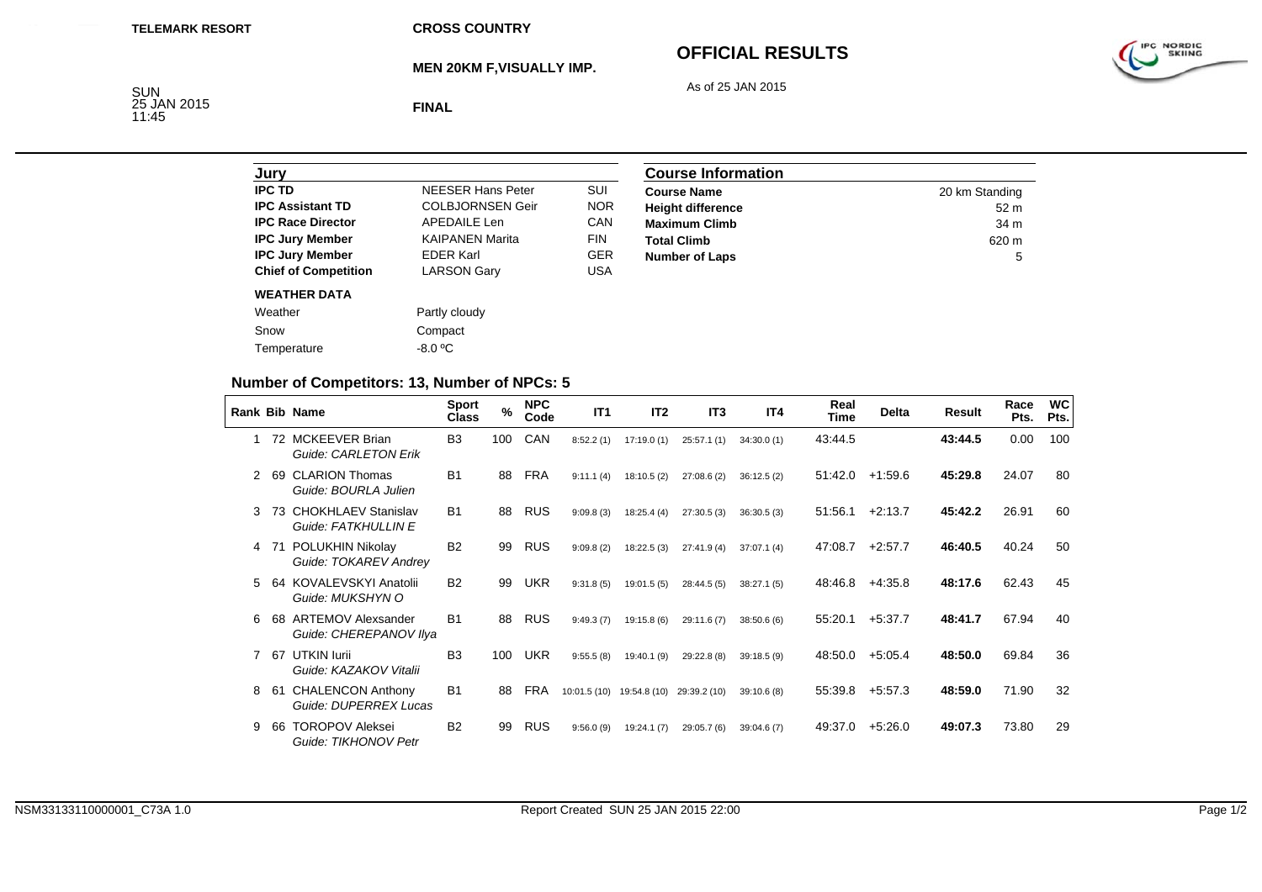**MEN 20KM F,VISUALLY IMP.**

# **OFFICIAL RESULTS**

As of 25 JAN 2015



SUN<br>25 JAN 2015<br>11:45

**FINAL**

| Jurv                        |                         |            |
|-----------------------------|-------------------------|------------|
| <b>IPC TD</b>               | NFFSER Hans Peter       | SUI        |
| <b>IPC Assistant TD</b>     | <b>COLBJORNSEN Geir</b> | <b>NOR</b> |
| <b>IPC Race Director</b>    | APFDAIL F Len           | CAN        |
| <b>IPC Jury Member</b>      | <b>KAIPANEN Marita</b>  | <b>FIN</b> |
| <b>IPC Jury Member</b>      | <b>FDFR Karl</b>        | <b>GER</b> |
| <b>Chief of Competition</b> | <b>LARSON Gary</b>      | USA        |
| <b>WEATHER DATA</b>         |                         |            |
| Weather                     | Partly cloudy           |            |
| Snow                        | Compact                 |            |
| Temperature                 | -8.0 °C                 |            |

| <b>Course Information</b> |                 |  |  |  |  |
|---------------------------|-----------------|--|--|--|--|
| <b>Course Name</b>        | 20 km Standing  |  |  |  |  |
| <b>Height difference</b>  | 52 <sub>m</sub> |  |  |  |  |
| <b>Maximum Climb</b>      | 34 m            |  |  |  |  |
| <b>Total Climb</b>        | 620 m           |  |  |  |  |
| <b>Number of Laps</b>     | 5               |  |  |  |  |

## **Number of Competitors: 13, Number of NPCs: 5**

|   |     | <b>Rank Bib Name</b>                                | <b>Sport</b><br>Class | $\%$ | <b>NPC</b><br>Code | IT1                       | IT <sub>2</sub> | IT <sub>3</sub> | IT4        | Real<br><b>Time</b> | <b>Delta</b> | Result  | Race<br>Pts. | <b>WC</b><br>Pts. |
|---|-----|-----------------------------------------------------|-----------------------|------|--------------------|---------------------------|-----------------|-----------------|------------|---------------------|--------------|---------|--------------|-------------------|
|   |     | 72 MCKEEVER Brian<br>Guide: CARLETON Erik           | B <sub>3</sub>        | 100  | CAN                | 8:52.2(1)                 | 17:19.0(1)      | 25:57.1(1)      | 34:30.0(1) | 43:44.5             |              | 43:44.5 | 0.00         | 100               |
| 2 | 69  | <b>CLARION Thomas</b><br>Guide: BOURLA Julien       | <b>B1</b>             | 88   | FRA                | 9:11.1(4)                 | 18:10.5(2)      | 27:08.6(2)      | 36:12.5(2) | 51:42.0             | $+1.59.6$    | 45:29.8 | 24.07        | 80                |
| 3 | 73  | <b>CHOKHLAEV Stanislav</b><br>Guide: FATKHULLIN E   | <b>B1</b>             | 88   | <b>RUS</b>         | 9:09.8(3)                 | 18:25.4(4)      | 27:30.5(3)      | 36:30.5(3) | 51:56.1             | $+2:13.7$    | 45:42.2 | 26.91        | 60                |
| 4 | -71 | POLUKHIN Nikolay<br>Guide: TOKAREV Andrey           | <b>B2</b>             | 99   | <b>RUS</b>         | 9:09.8(2)                 | 18:22.5(3)      | 27:41.9(4)      | 37:07.1(4) | 47:08.7             | $+2:57.7$    | 46:40.5 | 40.24        | 50                |
| 5 | 64  | KOVALEVSKYI Anatolii<br>Guide: MUKSHYN O            | <b>B2</b>             | 99   | <b>UKR</b>         | 9:31.8(5)                 | 19:01.5(5)      | 28:44.5(5)      | 38:27.1(5) | 48:46.8             | $+4.35.8$    | 48:17.6 | 62.43        | 45                |
| 6 | 68  | <b>ARTEMOV Alexsander</b><br>Guide: CHEREPANOV Ilya | <b>B1</b>             | 88   | RUS                | 9:49.3(7)                 | 19:15.8 (6)     | 29:11.6 (7)     | 38:50.6(6) | 55:20.1             | $+5:37.7$    | 48:41.7 | 67.94        | 40                |
|   | 67  | UTKIN lurii<br>Guide: KAZAKOV Vitalii               | B <sub>3</sub>        | 100  | <b>UKR</b>         | 9:55.5(8)                 | 19:40.1 (9)     | 29:22.8 (8)     | 39:18.5(9) | 48:50.0             | $+5.05.4$    | 48:50.0 | 69.84        | 36                |
| 8 | -61 | <b>CHALENCON Anthony</b><br>Guide: DUPERREX Lucas   | B <sub>1</sub>        | 88   | <b>FRA</b>         | 10:01.5 (10) 19:54.8 (10) |                 | 29:39.2 (10)    | 39:10.6(8) | 55:39.8             | $+5.57.3$    | 48:59.0 | 71.90        | 32                |
| 9 | 66  | <b>TOROPOV Aleksei</b><br>Guide: TIKHONOV Petr      | <b>B2</b>             | 99   | <b>RUS</b>         | 9:56.0(9)                 | 19:24.1(7)      | 29:05.7 (6)     | 39:04.6(7) | 49:37.0             | $+5:26.0$    | 49:07.3 | 73.80        | 29                |